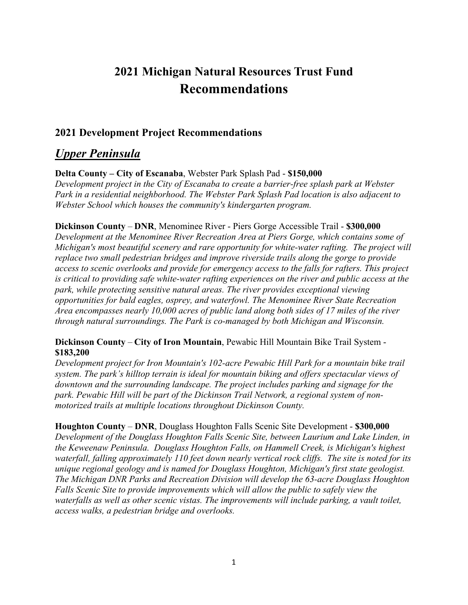# **2021 Michigan Natural Resources Trust Fund Recommendations**

# **2021 Development Project Recommendations**

# *Upper Peninsula*

**Delta County – City of Escanaba**, Webster Park Splash Pad - **\$150,000**

*Development project in the City of Escanaba to create a barrier-free splash park at Webster Park in a residential neighborhood. The Webster Park Splash Pad location is also adjacent to Webster School which houses the community's kindergarten program.*

**Dickinson County** – **DNR**, Menominee River - Piers Gorge Accessible Trail - **\$300,000**

*Development at the Menominee River Recreation Area at Piers Gorge, which contains some of Michigan's most beautiful scenery and rare opportunity for white-water rafting. The project will replace two small pedestrian bridges and improve riverside trails along the gorge to provide access to scenic overlooks and provide for emergency access to the falls for rafters. This project is critical to providing safe white-water rafting experiences on the river and public access at the park, while protecting sensitive natural areas. The river provides exceptional viewing opportunities for bald eagles, osprey, and waterfowl. The Menominee River State Recreation Area encompasses nearly 10,000 acres of public land along both sides of 17 miles of the river through natural surroundings. The Park is co-managed by both Michigan and Wisconsin.*

# **Dickinson County** – **City of Iron Mountain**, Pewabic Hill Mountain Bike Trail System - **\$183,200**

*Development project for Iron Mountain's 102-acre Pewabic Hill Park for a mountain bike trail system. The park's hilltop terrain is ideal for mountain biking and offers spectacular views of downtown and the surrounding landscape. The project includes parking and signage for the park. Pewabic Hill will be part of the Dickinson Trail Network, a regional system of nonmotorized trails at multiple locations throughout Dickinson County.*

**Houghton County** – **DNR**, Douglass Houghton Falls Scenic Site Development - **\$300,000** *Development of the Douglass Houghton Falls Scenic Site, between Laurium and Lake Linden, in the Keweenaw Peninsula. Douglass Houghton Falls, on Hammell Creek, is Michigan's highest waterfall, falling approximately 110 feet down nearly vertical rock cliffs. The site is noted for its unique regional geology and is named for Douglass Houghton, Michigan's first state geologist. The Michigan DNR Parks and Recreation Division will develop the 63-acre Douglass Houghton Falls Scenic Site to provide improvements which will allow the public to safely view the waterfalls as well as other scenic vistas. The improvements will include parking, a vault toilet, access walks, a pedestrian bridge and overlooks.*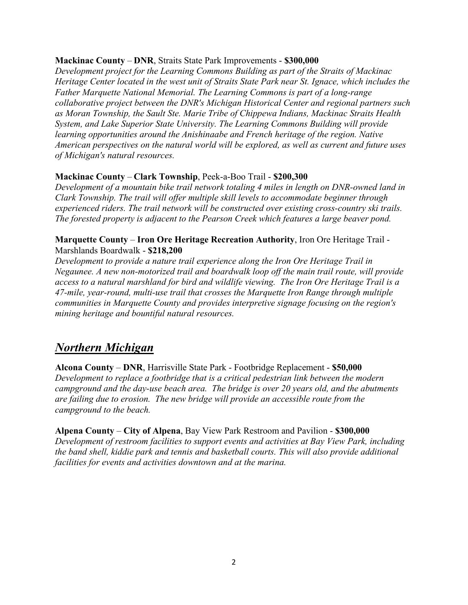### **Mackinac County** – **DNR**, Straits State Park Improvements - **\$300,000**

*Development project for the Learning Commons Building as part of the Straits of Mackinac Heritage Center located in the west unit of Straits State Park near St. Ignace, which includes the Father Marquette National Memorial. The Learning Commons is part of a long-range collaborative project between the DNR's Michigan Historical Center and regional partners such as Moran Township, the Sault Ste. Marie Tribe of Chippewa Indians, Mackinac Straits Health System, and Lake Superior State University. The Learning Commons Building will provide learning opportunities around the Anishinaabe and French heritage of the region. Native American perspectives on the natural world will be explored, as well as current and future uses of Michigan's natural resources.*

# **Mackinac County** – **Clark Township**, Peek-a-Boo Trail - **\$200,300**

*Development of a mountain bike trail network totaling 4 miles in length on DNR-owned land in Clark Township. The trail will offer multiple skill levels to accommodate beginner through experienced riders. The trail network will be constructed over existing cross-country ski trails. The forested property is adjacent to the Pearson Creek which features a large beaver pond.*

#### **Marquette County** – **Iron Ore Heritage Recreation Authority**, Iron Ore Heritage Trail - Marshlands Boardwalk - **\$218,200**

*Development to provide a nature trail experience along the Iron Ore Heritage Trail in Negaunee. A new non-motorized trail and boardwalk loop off the main trail route, will provide access to a natural marshland for bird and wildlife viewing. The Iron Ore Heritage Trail is a 47-mile, year-round, multi-use trail that crosses the Marquette Iron Range through multiple communities in Marquette County and provides interpretive signage focusing on the region's mining heritage and bountiful natural resources.*

# *Northern Michigan*

**Alcona County** – **DNR**, Harrisville State Park - Footbridge Replacement - **\$50,000** *Development to replace a footbridge that is a critical pedestrian link between the modern campground and the day-use beach area. The bridge is over 20 years old, and the abutments are failing due to erosion. The new bridge will provide an accessible route from the campground to the beach.*

**Alpena County** – **City of Alpena**, Bay View Park Restroom and Pavilion - **\$300,000** *Development of restroom facilities to support events and activities at Bay View Park, including the band shell, kiddie park and tennis and basketball courts. This will also provide additional facilities for events and activities downtown and at the marina.*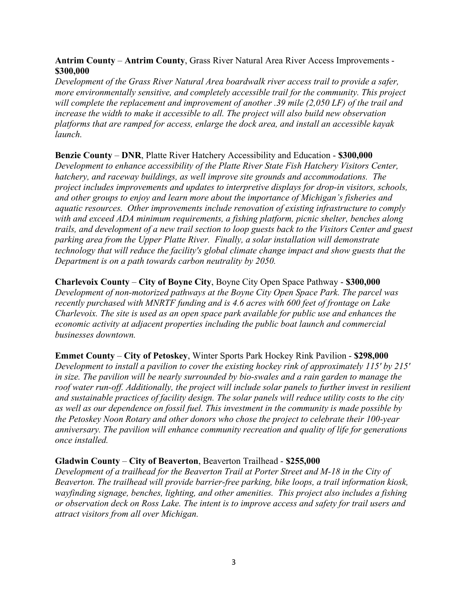## **Antrim County** – **Antrim County**, Grass River Natural Area River Access Improvements - **\$300,000**

*Development of the Grass River Natural Area boardwalk river access trail to provide a safer, more environmentally sensitive, and completely accessible trail for the community. This project will complete the replacement and improvement of another .39 mile (2,050 LF) of the trail and increase the width to make it accessible to all. The project will also build new observation platforms that are ramped for access, enlarge the dock area, and install an accessible kayak launch.*

## **Benzie County** – **DNR**, Platte River Hatchery Accessibility and Education - **\$300,000**

*Development to enhance accessibility of the Platte River State Fish Hatchery Visitors Center, hatchery, and raceway buildings, as well improve site grounds and accommodations. The project includes improvements and updates to interpretive displays for drop-in visitors, schools, and other groups to enjoy and learn more about the importance of Michigan's fisheries and aquatic resources. Other improvements include renovation of existing infrastructure to comply with and exceed ADA minimum requirements, a fishing platform, picnic shelter, benches along trails, and development of a new trail section to loop guests back to the Visitors Center and guest parking area from the Upper Platte River. Finally, a solar installation will demonstrate technology that will reduce the facility's global climate change impact and show guests that the Department is on a path towards carbon neutrality by 2050.*

#### **Charlevoix County** – **City of Boyne City**, Boyne City Open Space Pathway - **\$300,000** *Development of non-motorized pathways at the Boyne City Open Space Park. The parcel was recently purchased with MNRTF funding and is 4.6 acres with 600 feet of frontage on Lake*

*Charlevoix. The site is used as an open space park available for public use and enhances the economic activity at adjacent properties including the public boat launch and commercial businesses downtown.*

**Emmet County** – **City of Petoskey**, Winter Sports Park Hockey Rink Pavilion - **\$298,000** *Development to install a pavilion to cover the existing hockey rink of approximately 115' by 215' in size. The pavilion will be nearly surrounded by bio-swales and a rain garden to manage the roof water run-off. Additionally, the project will include solar panels to further invest in resilient and sustainable practices of facility design. The solar panels will reduce utility costs to the city as well as our dependence on fossil fuel. This investment in the community is made possible by the Petoskey Noon Rotary and other donors who chose the project to celebrate their 100-year anniversary. The pavilion will enhance community recreation and quality of life for generations once installed.*

#### **Gladwin County** – **City of Beaverton**, Beaverton Trailhead - **\$255,000**

*Development of a trailhead for the Beaverton Trail at Porter Street and M-18 in the City of Beaverton. The trailhead will provide barrier-free parking, bike loops, a trail information kiosk, wayfinding signage, benches, lighting, and other amenities. This project also includes a fishing or observation deck on Ross Lake. The intent is to improve access and safety for trail users and attract visitors from all over Michigan.*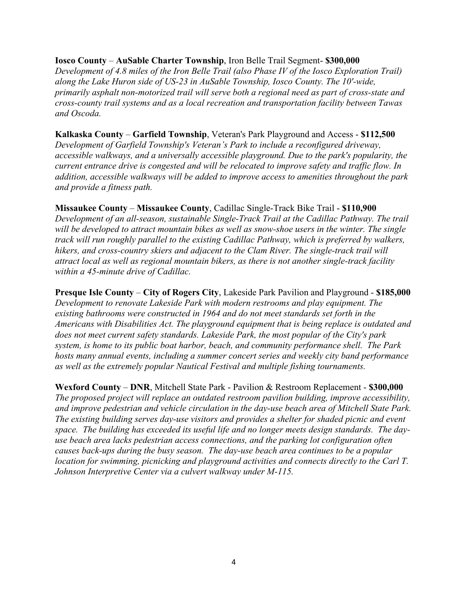#### **Iosco County** – **AuSable Charter Township**, Iron Belle Trail Segment- **\$300,000**

*Development of 4.8 miles of the Iron Belle Trail (also Phase IV of the Iosco Exploration Trail) along the Lake Huron side of US-23 in AuSable Township, Iosco County. The 10'-wide, primarily asphalt non-motorized trail will serve both a regional need as part of cross-state and cross-county trail systems and as a local recreation and transportation facility between Tawas and Oscoda.*

**Kalkaska County** – **Garfield Township**, Veteran's Park Playground and Access - **\$112,500** *Development of Garfield Township's Veteran's Park to include a reconfigured driveway, accessible walkways, and a universally accessible playground. Due to the park's popularity, the current entrance drive is congested and will be relocated to improve safety and traffic flow. In addition, accessible walkways will be added to improve access to amenities throughout the park and provide a fitness path.*

#### **Missaukee County** – **Missaukee County**, Cadillac Single-Track Bike Trail - **\$110,900**

*Development of an all-season, sustainable Single-Track Trail at the Cadillac Pathway. The trail will be developed to attract mountain bikes as well as snow-shoe users in the winter. The single track will run roughly parallel to the existing Cadillac Pathway, which is preferred by walkers, hikers, and cross-country skiers and adjacent to the Clam River. The single-track trail will attract local as well as regional mountain bikers, as there is not another single-track facility within a 45-minute drive of Cadillac.*

**Presque Isle County** – **City of Rogers City**, Lakeside Park Pavilion and Playground - **\$185,000** *Development to renovate Lakeside Park with modern restrooms and play equipment. The existing bathrooms were constructed in 1964 and do not meet standards set forth in the Americans with Disabilities Act. The playground equipment that is being replace is outdated and does not meet current safety standards. Lakeside Park, the most popular of the City's park system, is home to its public boat harbor, beach, and community performance shell. The Park hosts many annual events, including a summer concert series and weekly city band performance as well as the extremely popular Nautical Festival and multiple fishing tournaments.*

**Wexford County** – **DNR**, Mitchell State Park - Pavilion & Restroom Replacement - **\$300,000** *The proposed project will replace an outdated restroom pavilion building, improve accessibility, and improve pedestrian and vehicle circulation in the day-use beach area of Mitchell State Park. The existing building serves day-use visitors and provides a shelter for shaded picnic and event space. The building has exceeded its useful life and no longer meets design standards. The dayuse beach area lacks pedestrian access connections, and the parking lot configuration often causes back-ups during the busy season. The day-use beach area continues to be a popular location for swimming, picnicking and playground activities and connects directly to the Carl T. Johnson Interpretive Center via a culvert walkway under M-115.*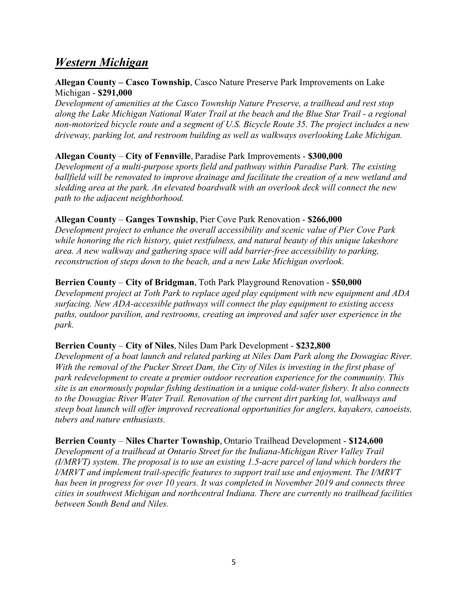# *Western Michigan*

## **Allegan County – Casco Township**, Casco Nature Preserve Park Improvements on Lake Michigan - **\$291,000**

*Development of amenities at the Casco Township Nature Preserve, a trailhead and rest stop along the Lake Michigan National Water Trail at the beach and the Blue Star Trail - a regional non-motorized bicycle route and a segment of U.S. Bicycle Route 35. The project includes a new driveway, parking lot, and restroom building as well as walkways overlooking Lake Michigan.*

# **Allegan County** – **City of Fennville**, Paradise Park Improvements - **\$300,000**

*Development of a multi-purpose sports field and pathway within Paradise Park. The existing ballfield will be renovated to improve drainage and facilitate the creation of a new wetland and sledding area at the park. An elevated boardwalk with an overlook deck will connect the new path to the adjacent neighborhood.*

## **Allegan County** – **Ganges Township**, Pier Cove Park Renovation - **\$266,000**

*Development project to enhance the overall accessibility and scenic value of Pier Cove Park while honoring the rich history, quiet restfulness, and natural beauty of this unique lakeshore area. A new walkway and gathering space will add barrier-free accessibility to parking, reconstruction of steps down to the beach, and a new Lake Michigan overlook.*

## **Berrien County** – **City of Bridgman**, Toth Park Playground Renovation - **\$50,000**

*Development project at Toth Park to replace aged play equipment with new equipment and ADA surfacing. New ADA-accessible pathways will connect the play equipment to existing access paths, outdoor pavilion, and restrooms, creating an improved and safer user experience in the park.*

#### **Berrien County** – **City of Niles**, Niles Dam Park Development - **\$232,800**

*Development of a boat launch and related parking at Niles Dam Park along the Dowagiac River. With the removal of the Pucker Street Dam, the City of Niles is investing in the first phase of park redevelopment to create a premier outdoor recreation experience for the community. This site is an enormously popular fishing destination in a unique cold-water fishery. It also connects to the Dowagiac River Water Trail. Renovation of the current dirt parking lot, walkways and steep boat launch will offer improved recreational opportunities for anglers, kayakers, canoeists, tubers and nature enthusiasts.*

#### **Berrien County** – **Niles Charter Township**, Ontario Trailhead Development - **\$124,600**

*Development of a trailhead at Ontario Street for the Indiana-Michigan River Valley Trail (I/MRVT) system. The proposal is to use an existing 1.5-acre parcel of land which borders the I/MRVT and implement trail-specific features to support trail use and enjoyment. The I/MRVT has been in progress for over 10 years. It was completed in November 2019 and connects three cities in southwest Michigan and northcentral Indiana. There are currently no trailhead facilities between South Bend and Niles.*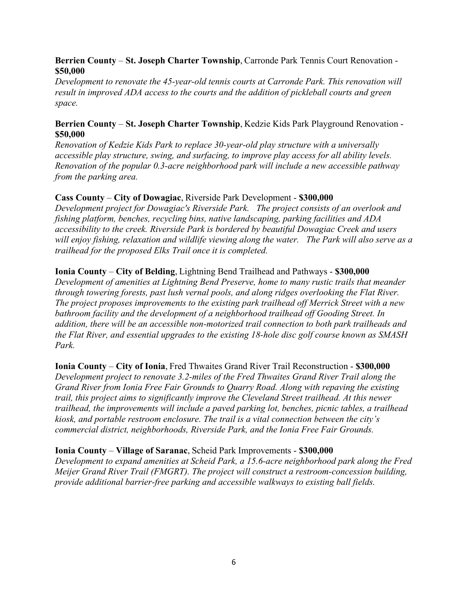## **Berrien County** – **St. Joseph Charter Township**, Carronde Park Tennis Court Renovation - **\$50,000**

*Development to renovate the 45-year-old tennis courts at Carronde Park. This renovation will result in improved ADA access to the courts and the addition of pickleball courts and green space.*

## **Berrien County** – **St. Joseph Charter Township**, Kedzie Kids Park Playground Renovation - **\$50,000**

*Renovation of Kedzie Kids Park to replace 30-year-old play structure with a universally accessible play structure, swing, and surfacing, to improve play access for all ability levels. Renovation of the popular 0.3-acre neighborhood park will include a new accessible pathway from the parking area.*

# **Cass County** – **City of Dowagiac**, Riverside Park Development - **\$300,000**

*Development project for Dowagiac's Riverside Park. The project consists of an overlook and fishing platform, benches, recycling bins, native landscaping, parking facilities and ADA accessibility to the creek. Riverside Park is bordered by beautiful Dowagiac Creek and users will enjoy fishing, relaxation and wildlife viewing along the water. The Park will also serve as a trailhead for the proposed Elks Trail once it is completed.*

## **Ionia County** – **City of Belding**, Lightning Bend Trailhead and Pathways - **\$300,000**

*Development of amenities at Lightning Bend Preserve, home to many rustic trails that meander through towering forests, past lush vernal pools, and along ridges overlooking the Flat River. The project proposes improvements to the existing park trailhead off Merrick Street with a new bathroom facility and the development of a neighborhood trailhead off Gooding Street. In addition, there will be an accessible non-motorized trail connection to both park trailheads and the Flat River, and essential upgrades to the existing 18-hole disc golf course known as SMASH Park.*

**Ionia County** – **City of Ionia**, Fred Thwaites Grand River Trail Reconstruction - **\$300,000** *Development project to renovate 3.2-miles of the Fred Thwaites Grand River Trail along the Grand River from Ionia Free Fair Grounds to Quarry Road. Along with repaving the existing trail, this project aims to significantly improve the Cleveland Street trailhead. At this newer trailhead, the improvements will include a paved parking lot, benches, picnic tables, a trailhead kiosk, and portable restroom enclosure. The trail is a vital connection between the city's commercial district, neighborhoods, Riverside Park, and the Ionia Free Fair Grounds.*

#### **Ionia County** – **Village of Saranac**, Scheid Park Improvements - **\$300,000**

*Development to expand amenities at Scheid Park, a 15.6-acre neighborhood park along the Fred Meijer Grand River Trail (FMGRT). The project will construct a restroom-concession building, provide additional barrier-free parking and accessible walkways to existing ball fields.*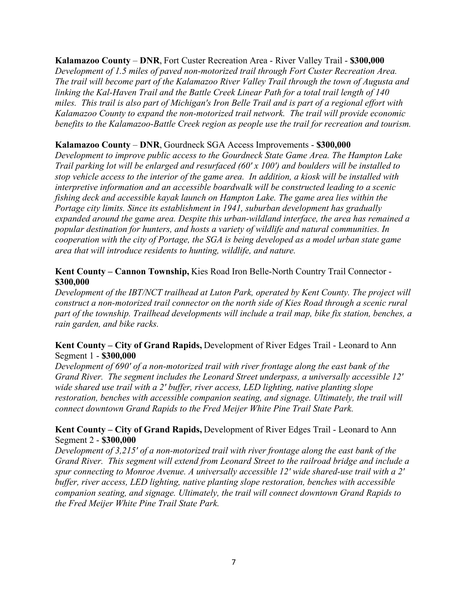#### **Kalamazoo County** – **DNR**, Fort Custer Recreation Area - River Valley Trail - **\$300,000**

*Development of 1.5 miles of paved non-motorized trail through Fort Custer Recreation Area. The trail will become part of the Kalamazoo River Valley Trail through the town of Augusta and linking the Kal-Haven Trail and the Battle Creek Linear Path for a total trail length of 140 miles. This trail is also part of Michigan's Iron Belle Trail and is part of a regional effort with Kalamazoo County to expand the non-motorized trail network. The trail will provide economic benefits to the Kalamazoo-Battle Creek region as people use the trail for recreation and tourism.*

## **Kalamazoo County** – **DNR**, Gourdneck SGA Access Improvements - **\$300,000**

*Development to improve public access to the Gourdneck State Game Area. The Hampton Lake Trail parking lot will be enlarged and resurfaced (60' x 100') and boulders will be installed to stop vehicle access to the interior of the game area. In addition, a kiosk will be installed with interpretive information and an accessible boardwalk will be constructed leading to a scenic fishing deck and accessible kayak launch on Hampton Lake. The game area lies within the Portage city limits. Since its establishment in 1941, suburban development has gradually expanded around the game area. Despite this urban-wildland interface, the area has remained a popular destination for hunters, and hosts a variety of wildlife and natural communities. In cooperation with the city of Portage, the SGA is being developed as a model urban state game area that will introduce residents to hunting, wildlife, and nature.*

## **Kent County – Cannon Township,** Kies Road Iron Belle-North Country Trail Connector - **\$300,000**

*Development of the IBT/NCT trailhead at Luton Park, operated by Kent County. The project will construct a non-motorized trail connector on the north side of Kies Road through a scenic rural part of the township. Trailhead developments will include a trail map, bike fix station, benches, a rain garden, and bike racks.*

## **Kent County – City of Grand Rapids,** Development of River Edges Trail - Leonard to Ann Segment 1 - **\$300,000**

*Development of 690' of a non-motorized trail with river frontage along the east bank of the Grand River. The segment includes the Leonard Street underpass, a universally accessible 12' wide shared use trail with a 2' buffer, river access, LED lighting, native planting slope restoration, benches with accessible companion seating, and signage. Ultimately, the trail will connect downtown Grand Rapids to the Fred Meijer White Pine Trail State Park.*

# **Kent County – City of Grand Rapids,** Development of River Edges Trail - Leonard to Ann Segment 2 - **\$300,000**

*Development of 3,215' of a non-motorized trail with river frontage along the east bank of the Grand River. This segment will extend from Leonard Street to the railroad bridge and include a spur connecting to Monroe Avenue. A universally accessible 12' wide shared-use trail with a 2' buffer, river access, LED lighting, native planting slope restoration, benches with accessible companion seating, and signage. Ultimately, the trail will connect downtown Grand Rapids to the Fred Meijer White Pine Trail State Park.*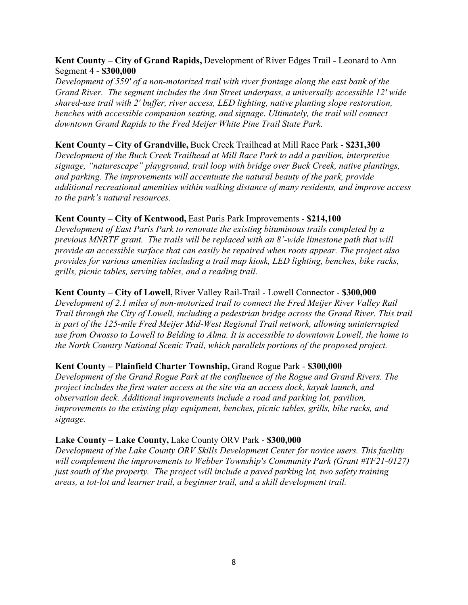## **Kent County – City of Grand Rapids,** Development of River Edges Trail - Leonard to Ann Segment 4 - **\$300,000**

*Development of 559' of a non-motorized trail with river frontage along the east bank of the Grand River. The segment includes the Ann Street underpass, a universally accessible 12' wide shared-use trail with 2' buffer, river access, LED lighting, native planting slope restoration, benches with accessible companion seating, and signage. Ultimately, the trail will connect downtown Grand Rapids to the Fred Meijer White Pine Trail State Park.*

## **Kent County – City of Grandville,** Buck Creek Trailhead at Mill Race Park - **\$231,300**

*Development of the Buck Creek Trailhead at Mill Race Park to add a pavilion, interpretive signage, "naturescape" playground, trail loop with bridge over Buck Creek, native plantings, and parking. The improvements will accentuate the natural beauty of the park, provide additional recreational amenities within walking distance of many residents, and improve access to the park's natural resources.*

## **Kent County – City of Kentwood,** East Paris Park Improvements - **\$214,100**

*Development of East Paris Park to renovate the existing bituminous trails completed by a previous MNRTF grant. The trails will be replaced with an 8'-wide limestone path that will provide an accessible surface that can easily be repaired when roots appear. The project also provides for various amenities including a trail map kiosk, LED lighting, benches, bike racks, grills, picnic tables, serving tables, and a reading trail.*

## **Kent County – City of Lowell,** River Valley Rail-Trail - Lowell Connector - **\$300,000**

*Development of 2.1 miles of non-motorized trail to connect the Fred Meijer River Valley Rail Trail through the City of Lowell, including a pedestrian bridge across the Grand River. This trail is part of the 125-mile Fred Meijer Mid-West Regional Trail network, allowing uninterrupted use from Owosso to Lowell to Belding to Alma. It is accessible to downtown Lowell, the home to the North Country National Scenic Trail, which parallels portions of the proposed project.*

#### **Kent County – Plainfield Charter Township,** Grand Rogue Park - **\$300,000**

*Development of the Grand Rogue Park at the confluence of the Rogue and Grand Rivers. The project includes the first water access at the site via an access dock, kayak launch, and observation deck. Additional improvements include a road and parking lot, pavilion, improvements to the existing play equipment, benches, picnic tables, grills, bike racks, and signage.*

#### **Lake County – Lake County,** Lake County ORV Park - **\$300,000**

*Development of the Lake County ORV Skills Development Center for novice users. This facility will complement the improvements to Webber Township's Community Park (Grant #TF21-0127) just south of the property. The project will include a paved parking lot, two safety training areas, a tot-lot and learner trail, a beginner trail, and a skill development trail.*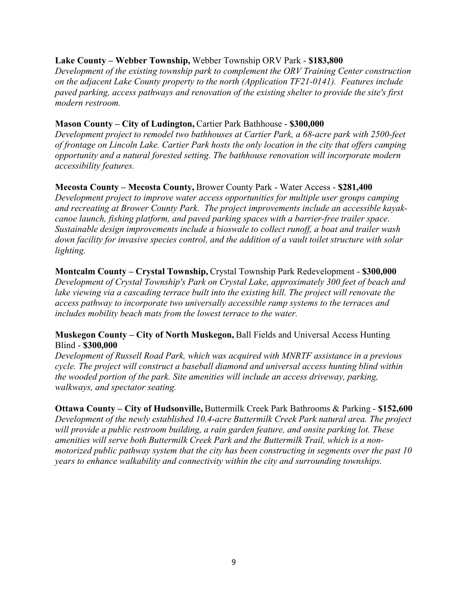## **Lake County – Webber Township,** Webber Township ORV Park - **\$183,800**

*Development of the existing township park to complement the ORV Training Center construction on the adjacent Lake County property to the north (Application TF21-0141). Features include paved parking, access pathways and renovation of the existing shelter to provide the site's first modern restroom.*

#### **Mason County – City of Ludington,** Cartier Park Bathhouse - **\$300,000**

*Development project to remodel two bathhouses at Cartier Park, a 68-acre park with 2500-feet of frontage on Lincoln Lake. Cartier Park hosts the only location in the city that offers camping opportunity and a natural forested setting. The bathhouse renovation will incorporate modern accessibility features.* 

#### **Mecosta County – Mecosta County,** Brower County Park - Water Access - **\$281,400**

*Development project to improve water access opportunities for multiple user groups camping and recreating at Brower County Park. The project improvements include an accessible kayakcanoe launch, fishing platform, and paved parking spaces with a barrier-free trailer space. Sustainable design improvements include a bioswale to collect runoff, a boat and trailer wash down facility for invasive species control, and the addition of a vault toilet structure with solar lighting.*

## **Montcalm County – Crystal Township,** Crystal Township Park Redevelopment - **\$300,000**

*Development of Crystal Township's Park on Crystal Lake, approximately 300 feet of beach and*  lake viewing via a cascading terrace built into the existing hill. The project will renovate the *access pathway to incorporate two universally accessible ramp systems to the terraces and includes mobility beach mats from the lowest terrace to the water.*

## **Muskegon County – City of North Muskegon,** Ball Fields and Universal Access Hunting Blind - **\$300,000**

*Development of Russell Road Park, which was acquired with MNRTF assistance in a previous cycle. The project will construct a baseball diamond and universal access hunting blind within the wooded portion of the park. Site amenities will include an access driveway, parking, walkways, and spectator seating.*

**Ottawa County – City of Hudsonville,** Buttermilk Creek Park Bathrooms & Parking - **\$152,600** *Development of the newly established 10.4-acre Buttermilk Creek Park natural area. The project will provide a public restroom building, a rain garden feature, and onsite parking lot. These amenities will serve both Buttermilk Creek Park and the Buttermilk Trail, which is a nonmotorized public pathway system that the city has been constructing in segments over the past 10 years to enhance walkability and connectivity within the city and surrounding townships.*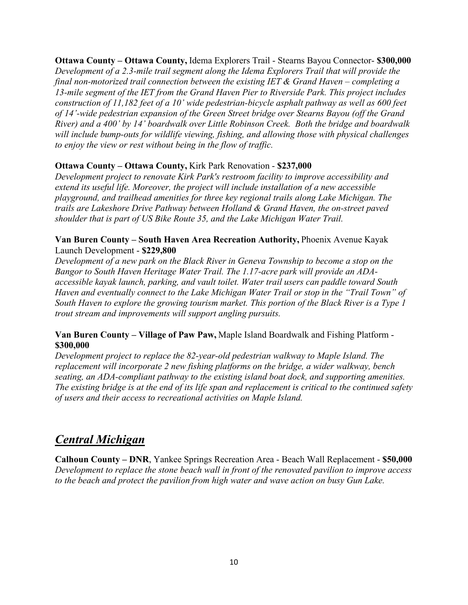**Ottawa County – Ottawa County,** Idema Explorers Trail - Stearns Bayou Connector- **\$300,000** *Development of a 2.3-mile trail segment along the Idema Explorers Trail that will provide the final non-motorized trail connection between the existing IET & Grand Haven – completing a 13-mile segment of the IET from the Grand Haven Pier to Riverside Park. This project includes construction of 11,182 feet of a 10' wide pedestrian-bicycle asphalt pathway as well as 600 feet of 14'-wide pedestrian expansion of the Green Street bridge over Stearns Bayou (off the Grand River) and a 400' by 14' boardwalk over Little Robinson Creek. Both the bridge and boardwalk will include bump-outs for wildlife viewing, fishing, and allowing those with physical challenges to enjoy the view or rest without being in the flow of traffic.*

# **Ottawa County – Ottawa County,** Kirk Park Renovation - **\$237,000**

*Development project to renovate Kirk Park's restroom facility to improve accessibility and extend its useful life. Moreover, the project will include installation of a new accessible playground, and trailhead amenities for three key regional trails along Lake Michigan. The trails are Lakeshore Drive Pathway between Holland & Grand Haven, the on-street paved shoulder that is part of US Bike Route 35, and the Lake Michigan Water Trail.*

## **Van Buren County – South Haven Area Recreation Authority,** Phoenix Avenue Kayak Launch Development - **\$229,800**

*Development of a new park on the Black River in Geneva Township to become a stop on the Bangor to South Haven Heritage Water Trail. The 1.17-acre park will provide an ADAaccessible kayak launch, parking, and vault toilet. Water trail users can paddle toward South Haven and eventually connect to the Lake Michigan Water Trail or stop in the "Trail Town" of South Haven to explore the growing tourism market. This portion of the Black River is a Type 1 trout stream and improvements will support angling pursuits.*

# **Van Buren County – Village of Paw Paw,** Maple Island Boardwalk and Fishing Platform - **\$300,000**

*Development project to replace the 82-year-old pedestrian walkway to Maple Island. The replacement will incorporate 2 new fishing platforms on the bridge, a wider walkway, bench seating, an ADA-compliant pathway to the existing island boat dock, and supporting amenities. The existing bridge is at the end of its life span and replacement is critical to the continued safety of users and their access to recreational activities on Maple Island.*

# *Central Michigan*

**Calhoun County – DNR**, Yankee Springs Recreation Area - Beach Wall Replacement - **\$50,000** *Development to replace the stone beach wall in front of the renovated pavilion to improve access to the beach and protect the pavilion from high water and wave action on busy Gun Lake.*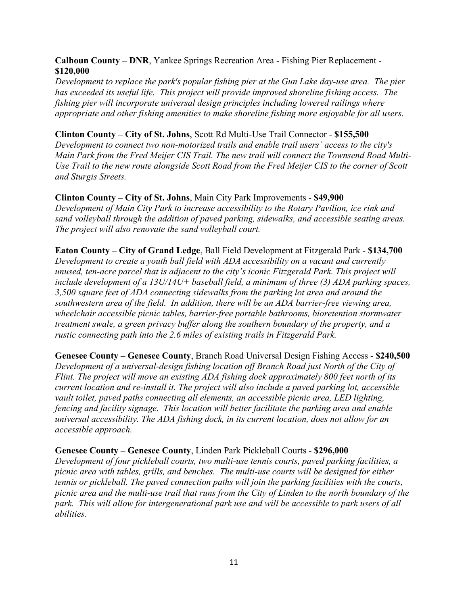## **Calhoun County – DNR**, Yankee Springs Recreation Area - Fishing Pier Replacement - **\$120,000**

*Development to replace the park's popular fishing pier at the Gun Lake day-use area. The pier has exceeded its useful life. This project will provide improved shoreline fishing access. The fishing pier will incorporate universal design principles including lowered railings where appropriate and other fishing amenities to make shoreline fishing more enjoyable for all users.*

## **Clinton County – City of St. Johns**, Scott Rd Multi-Use Trail Connector - **\$155,500**

*Development to connect two non-motorized trails and enable trail users' access to the city's Main Park from the Fred Meijer CIS Trail. The new trail will connect the Townsend Road Multi-Use Trail to the new route alongside Scott Road from the Fred Meijer CIS to the corner of Scott and Sturgis Streets.*

## **Clinton County – City of St. Johns**, Main City Park Improvements - **\$49,900**

*Development of Main City Park to increase accessibility to the Rotary Pavilion, ice rink and sand volleyball through the addition of paved parking, sidewalks, and accessible seating areas. The project will also renovate the sand volleyball court.*

**Eaton County – City of Grand Ledge**, Ball Field Development at Fitzgerald Park - **\$134,700** *Development to create a youth ball field with ADA accessibility on a vacant and currently unused, ten-acre parcel that is adjacent to the city's iconic Fitzgerald Park. This project will include development of a 13U/14U+ baseball field, a minimum of three (3) ADA parking spaces, 3,500 square feet of ADA connecting sidewalks from the parking lot area and around the southwestern area of the field. In addition, there will be an ADA barrier-free viewing area, wheelchair accessible picnic tables, barrier-free portable bathrooms, bioretention stormwater treatment swale, a green privacy buffer along the southern boundary of the property, and a rustic connecting path into the 2.6 miles of existing trails in Fitzgerald Park.*

**Genesee County – Genesee County**, Branch Road Universal Design Fishing Access - **\$240,500** *Development of a universal-design fishing location off Branch Road just North of the City of Flint. The project will move an existing ADA fishing dock approximately 800 feet north of its current location and re-install it. The project will also include a paved parking lot, accessible vault toilet, paved paths connecting all elements, an accessible picnic area, LED lighting, fencing and facility signage. This location will better facilitate the parking area and enable universal accessibility. The ADA fishing dock, in its current location, does not allow for an accessible approach.*

### **Genesee County – Genesee County**, Linden Park Pickleball Courts - **\$296,000** *Development of four pickleball courts, two multi-use tennis courts, paved parking facilities, a picnic area with tables, grills, and benches. The multi-use courts will be designed for either tennis or pickleball. The paved connection paths will join the parking facilities with the courts, picnic area and the multi-use trail that runs from the City of Linden to the north boundary of the park. This will allow for intergenerational park use and will be accessible to park users of all abilities.*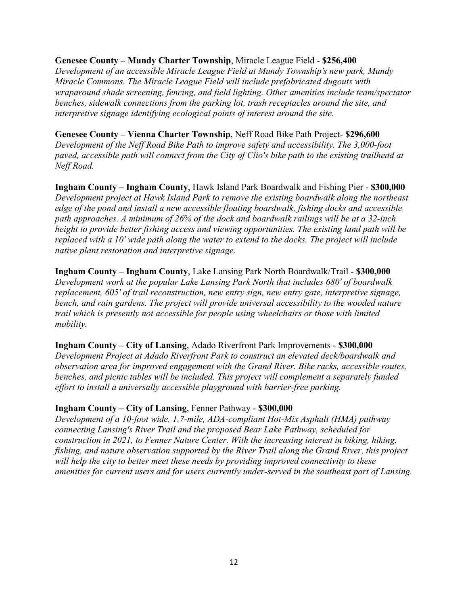#### **Genesee County – Mundy Charter Township**, Miracle League Field - **\$256,400**

*Development of an accessible Miracle League Field at Mundy Township's new park, Mundy Miracle Commons. The Miracle League Field will include prefabricated dugouts with wraparound shade screening, fencing, and field lighting. Other amenities include team/spectator benches, sidewalk connections from the parking lot, trash receptacles around the site, and interpretive signage identifying ecological points of interest around the site.*

#### **Genesee County – Vienna Charter Township**, Neff Road Bike Path Project- **\$296,600**

*Development of the Neff Road Bike Path to improve safety and accessibility. The 3,000-foot paved, accessible path will connect from the City of Clio's bike path to the existing trailhead at Neff Road.*

**Ingham County – Ingham County**, Hawk Island Park Boardwalk and Fishing Pier - **\$300,000** *Development project at Hawk Island Park to remove the existing boardwalk along the northeast edge of the pond and install a new accessible floating boardwalk, fishing docks and accessible path approaches. A minimum of 26% of the dock and boardwalk railings will be at a 32-inch height to provide better fishing access and viewing opportunities. The existing land path will be replaced with a 10' wide path along the water to extend to the docks. The project will include native plant restoration and interpretive signage.*

## **Ingham County – Ingham County**, Lake Lansing Park North Boardwalk/Trail - **\$300,000** *Development work at the popular Lake Lansing Park North that includes 680' of boardwalk replacement, 605' of trail reconstruction, new entry sign, new entry gate, interpretive signage, bench, and rain gardens. The project will provide universal accessibility to the wooded nature trail which is presently not accessible for people using wheelchairs or those with limited mobility.*

#### **Ingham County – City of Lansing**, Adado Riverfront Park Improvements - **\$300,000**

*Development Project at Adado Riverfront Park to construct an elevated deck/boardwalk and observation area for improved engagement with the Grand River. Bike racks, accessible routes, benches, and picnic tables will be included. This project will complement a separately funded effort to install a universally accessible playground with barrier-free parking.*

#### **Ingham County – City of Lansing**, Fenner Pathway - **\$300,000**

*Development of a 10-foot wide, 1.7-mile, ADA-compliant Hot-Mix Asphalt (HMA) pathway connecting Lansing's River Trail and the proposed Bear Lake Pathway, scheduled for construction in 2021, to Fenner Nature Center. With the increasing interest in biking, hiking, fishing, and nature observation supported by the River Trail along the Grand River, this project will help the city to better meet these needs by providing improved connectivity to these amenities for current users and for users currently under-served in the southeast part of Lansing.*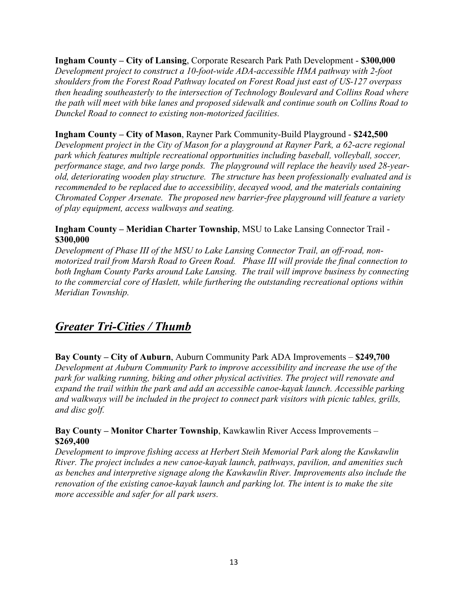**Ingham County – City of Lansing**, Corporate Research Park Path Development - **\$300,000** *Development project to construct a 10-foot-wide ADA-accessible HMA pathway with 2-foot shoulders from the Forest Road Pathway located on Forest Road just east of US-127 overpass then heading southeasterly to the intersection of Technology Boulevard and Collins Road where the path will meet with bike lanes and proposed sidewalk and continue south on Collins Road to Dunckel Road to connect to existing non-motorized facilities.*

# **Ingham County – City of Mason**, Rayner Park Community-Build Playground - **\$242,500**

*Development project in the City of Mason for a playground at Rayner Park, a 62-acre regional park which features multiple recreational opportunities including baseball, volleyball, soccer, performance stage, and two large ponds. The playground will replace the heavily used 28-yearold, deteriorating wooden play structure. The structure has been professionally evaluated and is recommended to be replaced due to accessibility, decayed wood, and the materials containing Chromated Copper Arsenate. The proposed new barrier-free playground will feature a variety of play equipment, access walkways and seating.*

## **Ingham County – Meridian Charter Township**, MSU to Lake Lansing Connector Trail - **\$300,000**

*Development of Phase III of the MSU to Lake Lansing Connector Trail, an off-road, nonmotorized trail from Marsh Road to Green Road. Phase III will provide the final connection to both Ingham County Parks around Lake Lansing. The trail will improve business by connecting to the commercial core of Haslett, while furthering the outstanding recreational options within Meridian Township.*

# *Greater Tri-Cities / Thumb*

**Bay County – City of Auburn**, Auburn Community Park ADA Improvements – **\$249,700** *Development at Auburn Community Park to improve accessibility and increase the use of the park for walking running, biking and other physical activities. The project will renovate and expand the trail within the park and add an accessible canoe-kayak launch. Accessible parking and walkways will be included in the project to connect park visitors with picnic tables, grills, and disc golf.*

## **Bay County – Monitor Charter Township**, Kawkawlin River Access Improvements – **\$269,400**

*Development to improve fishing access at Herbert Steih Memorial Park along the Kawkawlin River. The project includes a new canoe-kayak launch, pathways, pavilion, and amenities such as benches and interpretive signage along the Kawkawlin River. Improvements also include the renovation of the existing canoe-kayak launch and parking lot. The intent is to make the site more accessible and safer for all park users.*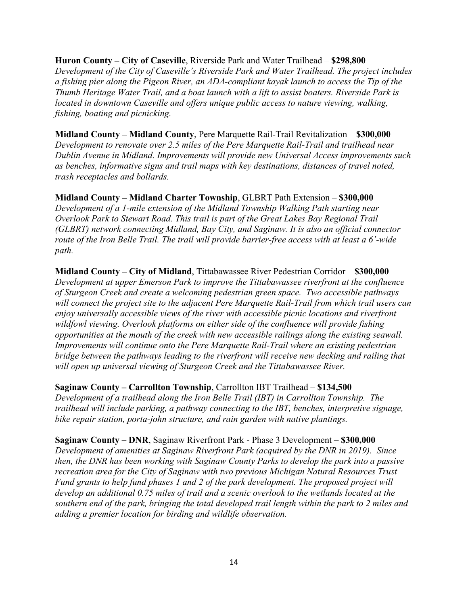**Huron County – City of Caseville**, Riverside Park and Water Trailhead – **\$298,800** *Development of the City of Caseville's Riverside Park and Water Trailhead. The project includes a fishing pier along the Pigeon River, an ADA-compliant kayak launch to access the Tip of the Thumb Heritage Water Trail, and a boat launch with a lift to assist boaters. Riverside Park is located in downtown Caseville and offers unique public access to nature viewing, walking, fishing, boating and picnicking.*

**Midland County – Midland County**, Pere Marquette Rail-Trail Revitalization – **\$300,000** *Development to renovate over 2.5 miles of the Pere Marquette Rail-Trail and trailhead near Dublin Avenue in Midland. Improvements will provide new Universal Access improvements such as benches, informative signs and trail maps with key destinations, distances of travel noted, trash receptacles and bollards.*

**Midland County – Midland Charter Township**, GLBRT Path Extension – **\$300,000** *Development of a 1-mile extension of the Midland Township Walking Path starting near Overlook Park to Stewart Road. This trail is part of the Great Lakes Bay Regional Trail (GLBRT) network connecting Midland, Bay City, and Saginaw. It is also an official connector route of the Iron Belle Trail. The trail will provide barrier-free access with at least a 6'-wide path.*

**Midland County – City of Midland**, Tittabawassee River Pedestrian Corridor – **\$300,000** *Development at upper Emerson Park to improve the Tittabawassee riverfront at the confluence of Sturgeon Creek and create a welcoming pedestrian green space. Two accessible pathways will connect the project site to the adjacent Pere Marquette Rail-Trail from which trail users can enjoy universally accessible views of the river with accessible picnic locations and riverfront wildfowl viewing. Overlook platforms on either side of the confluence will provide fishing opportunities at the mouth of the creek with new accessible railings along the existing seawall. Improvements will continue onto the Pere Marquette Rail-Trail where an existing pedestrian bridge between the pathways leading to the riverfront will receive new decking and railing that will open up universal viewing of Sturgeon Creek and the Tittabawassee River.*

**Saginaw County – Carrollton Township**, Carrollton IBT Trailhead – **\$134,500**

*Development of a trailhead along the Iron Belle Trail (IBT) in Carrollton Township. The trailhead will include parking, a pathway connecting to the IBT, benches, interpretive signage, bike repair station, porta-john structure, and rain garden with native plantings.*

**Saginaw County – DNR**, Saginaw Riverfront Park - Phase 3 Development – **\$300,000** *Development of amenities at Saginaw Riverfront Park (acquired by the DNR in 2019). Since then, the DNR has been working with Saginaw County Parks to develop the park into a passive recreation area for the City of Saginaw with two previous Michigan Natural Resources Trust Fund grants to help fund phases 1 and 2 of the park development. The proposed project will develop an additional 0.75 miles of trail and a scenic overlook to the wetlands located at the southern end of the park, bringing the total developed trail length within the park to 2 miles and adding a premier location for birding and wildlife observation.*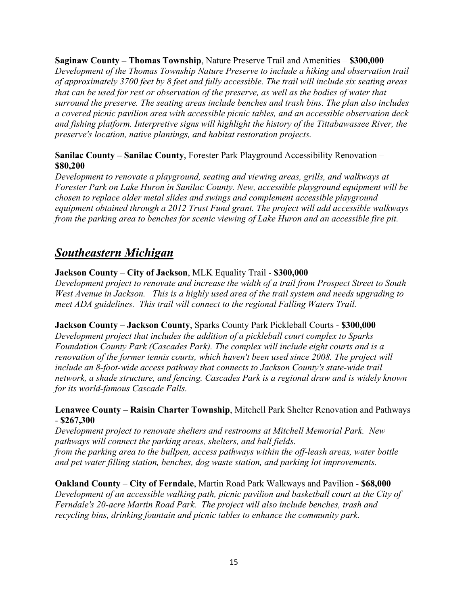**Saginaw County – Thomas Township**, Nature Preserve Trail and Amenities – **\$300,000**

*Development of the Thomas Township Nature Preserve to include a hiking and observation trail of approximately 3700 feet by 8 feet and fully accessible. The trail will include six seating areas that can be used for rest or observation of the preserve, as well as the bodies of water that surround the preserve. The seating areas include benches and trash bins. The plan also includes a covered picnic pavilion area with accessible picnic tables, and an accessible observation deck and fishing platform. Interpretive signs will highlight the history of the Tittabawassee River, the preserve's location, native plantings, and habitat restoration projects.*

# **Sanilac County – Sanilac County**, Forester Park Playground Accessibility Renovation – **\$80,200**

*Development to renovate a playground, seating and viewing areas, grills, and walkways at Forester Park on Lake Huron in Sanilac County. New, accessible playground equipment will be chosen to replace older metal slides and swings and complement accessible playground equipment obtained through a 2012 Trust Fund grant. The project will add accessible walkways from the parking area to benches for scenic viewing of Lake Huron and an accessible fire pit.*

# *Southeastern Michigan*

# **Jackson County** – **City of Jackson**, MLK Equality Trail - **\$300,000**

*Development project to renovate and increase the width of a trail from Prospect Street to South West Avenue in Jackson. This is a highly used area of the trail system and needs upgrading to meet ADA guidelines. This trail will connect to the regional Falling Waters Trail.*

#### **Jackson County** – **Jackson County**, Sparks County Park Pickleball Courts - **\$300,000**

*Development project that includes the addition of a pickleball court complex to Sparks Foundation County Park (Cascades Park). The complex will include eight courts and is a renovation of the former tennis courts, which haven't been used since 2008. The project will include an 8-foot-wide access pathway that connects to Jackson County's state-wide trail network, a shade structure, and fencing. Cascades Park is a regional draw and is widely known for its world-famous Cascade Falls.*

## **Lenawee County** – **Raisin Charter Township**, Mitchell Park Shelter Renovation and Pathways - **\$267,300**

*Development project to renovate shelters and restrooms at Mitchell Memorial Park. New pathways will connect the parking areas, shelters, and ball fields. from the parking area to the bullpen, access pathways within the off-leash areas, water bottle and pet water filling station, benches, dog waste station, and parking lot improvements.*

**Oakland County** – **City of Ferndale**, Martin Road Park Walkways and Pavilion - **\$68,000** *Development of an accessible walking path, picnic pavilion and basketball court at the City of Ferndale's 20-acre Martin Road Park. The project will also include benches, trash and recycling bins, drinking fountain and picnic tables to enhance the community park.*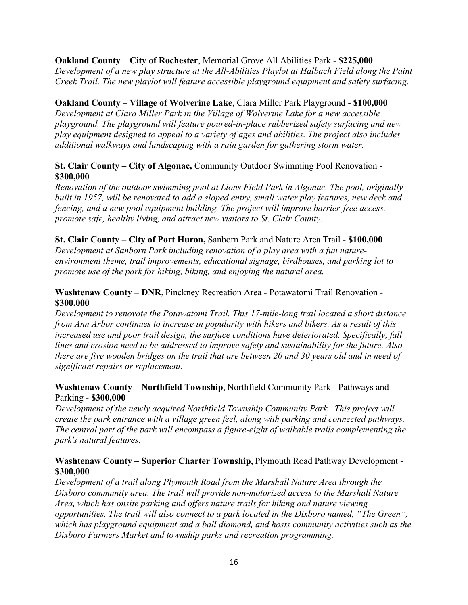## **Oakland County** – **City of Rochester**, Memorial Grove All Abilities Park - **\$225,000**

*Development of a new play structure at the All-Abilities Playlot at Halbach Field along the Paint Creek Trail. The new playlot will feature accessible playground equipment and safety surfacing.*

## **Oakland County** – **Village of Wolverine Lake**, Clara Miller Park Playground - **\$100,000**

*Development at Clara Miller Park in the Village of Wolverine Lake for a new accessible playground. The playground will feature poured-in-place rubberized safety surfacing and new play equipment designed to appeal to a variety of ages and abilities. The project also includes additional walkways and landscaping with a rain garden for gathering storm water.*

# **St. Clair County – City of Algonac,** Community Outdoor Swimming Pool Renovation - **\$300,000**

*Renovation of the outdoor swimming pool at Lions Field Park in Algonac. The pool, originally built in 1957, will be renovated to add a sloped entry, small water play features, new deck and fencing, and a new pool equipment building. The project will improve barrier-free access, promote safe, healthy living, and attract new visitors to St. Clair County.*

## **St. Clair County – City of Port Huron,** Sanborn Park and Nature Area Trail - **\$100,000** *Development at Sanborn Park including renovation of a play area with a fun natureenvironment theme, trail improvements, educational signage, birdhouses, and parking lot to promote use of the park for hiking, biking, and enjoying the natural area.*

# **Washtenaw County – DNR**, Pinckney Recreation Area - Potawatomi Trail Renovation - **\$300,000**

*Development to renovate the Potawatomi Trail. This 17-mile-long trail located a short distance from Ann Arbor continues to increase in popularity with hikers and bikers. As a result of this increased use and poor trail design, the surface conditions have deteriorated. Specifically, fall lines and erosion need to be addressed to improve safety and sustainability for the future. Also, there are five wooden bridges on the trail that are between 20 and 30 years old and in need of significant repairs or replacement.*

# **Washtenaw County – Northfield Township**, Northfield Community Park - Pathways and Parking - **\$300,000**

*Development of the newly acquired Northfield Township Community Park. This project will create the park entrance with a village green feel, along with parking and connected pathways. The central part of the park will encompass a figure-eight of walkable trails complementing the park's natural features.*

## **Washtenaw County – Superior Charter Township**, Plymouth Road Pathway Development - **\$300,000**

*Development of a trail along Plymouth Road from the Marshall Nature Area through the Dixboro community area. The trail will provide non-motorized access to the Marshall Nature Area, which has onsite parking and offers nature trails for hiking and nature viewing opportunities. The trail will also connect to a park located in the Dixboro named, "The Green", which has playground equipment and a ball diamond, and hosts community activities such as the Dixboro Farmers Market and township parks and recreation programming.*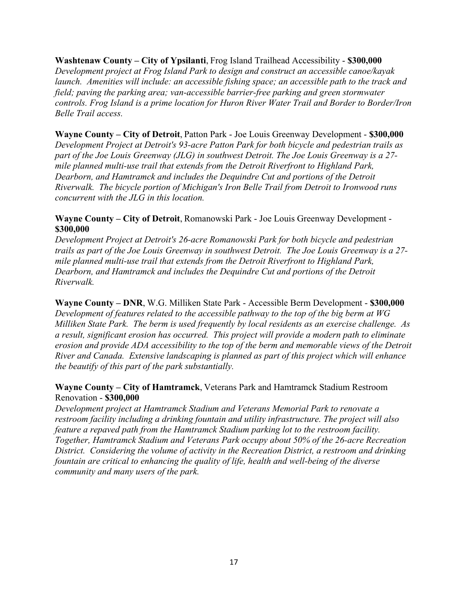**Washtenaw County – City of Ypsilanti**, Frog Island Trailhead Accessibility - **\$300,000** *Development project at Frog Island Park to design and construct an accessible canoe/kayak launch. Amenities will include: an accessible fishing space; an accessible path to the track and field; paving the parking area; van-accessible barrier-free parking and green stormwater controls. Frog Island is a prime location for Huron River Water Trail and Border to Border/Iron Belle Trail access.*

**Wayne County – City of Detroit**, Patton Park - Joe Louis Greenway Development - **\$300,000** *Development Project at Detroit's 93-acre Patton Park for both bicycle and pedestrian trails as part of the Joe Louis Greenway (JLG) in southwest Detroit. The Joe Louis Greenway is a 27 mile planned multi-use trail that extends from the Detroit Riverfront to Highland Park, Dearborn, and Hamtramck and includes the Dequindre Cut and portions of the Detroit Riverwalk. The bicycle portion of Michigan's Iron Belle Trail from Detroit to Ironwood runs concurrent with the JLG in this location.*

#### **Wayne County – City of Detroit**, Romanowski Park - Joe Louis Greenway Development - **\$300,000**

*Development Project at Detroit's 26-acre Romanowski Park for both bicycle and pedestrian trails as part of the Joe Louis Greenway in southwest Detroit. The Joe Louis Greenway is a 27 mile planned multi-use trail that extends from the Detroit Riverfront to Highland Park, Dearborn, and Hamtramck and includes the Dequindre Cut and portions of the Detroit Riverwalk.*

**Wayne County – DNR**, W.G. Milliken State Park - Accessible Berm Development - **\$300,000** *Development of features related to the accessible pathway to the top of the big berm at WG Milliken State Park. The berm is used frequently by local residents as an exercise challenge. As a result, significant erosion has occurred. This project will provide a modern path to eliminate erosion and provide ADA accessibility to the top of the berm and memorable views of the Detroit River and Canada. Extensive landscaping is planned as part of this project which will enhance the beautify of this part of the park substantially.*

# **Wayne County – City of Hamtramck**, Veterans Park and Hamtramck Stadium Restroom Renovation - **\$300,000**

*Development project at Hamtramck Stadium and Veterans Memorial Park to renovate a restroom facility including a drinking fountain and utility infrastructure. The project will also feature a repaved path from the Hamtramck Stadium parking lot to the restroom facility. Together, Hamtramck Stadium and Veterans Park occupy about 50% of the 26-acre Recreation District. Considering the volume of activity in the Recreation District, a restroom and drinking fountain are critical to enhancing the quality of life, health and well-being of the diverse community and many users of the park.*